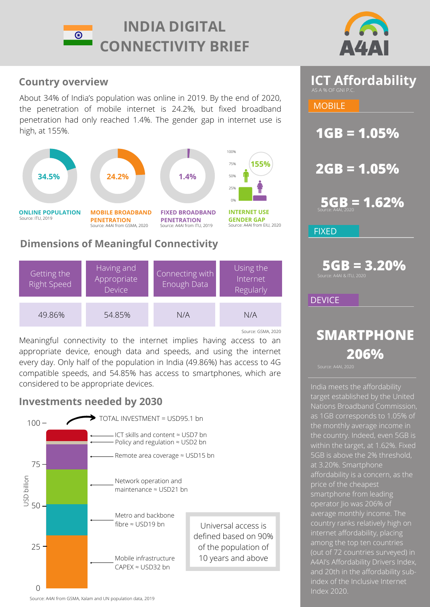



**ICT Affordability** 

**1GB = 1.05%**

**MOBILE** 

**2GB = 1.05%**

## **Country overview**

About 34% of India's population was online in 2019. By the end of 2020, the penetration of mobile internet is 24.2%, but fixed broadband penetration had only reached 1.4%. The gender gap in internet use is high, at 155%.



## **Dimensions of Meaningful Connectivity**

| Getting the<br><b>Right Speed</b> | Having and<br>Appropriate<br><b>Device</b> | Connecting with<br>Enough Data | Using the<br>Internet<br>Regularly |
|-----------------------------------|--------------------------------------------|--------------------------------|------------------------------------|
| 49.86%                            | 54.85%                                     | N/A                            | N/A                                |
|                                   |                                            |                                | Source: GSMA, 2020                 |

Meaningful connectivity to the internet implies having access to an appropriate device, enough data and speeds, and using the internet every day. Only half of the population in India (49.86%) has access to 4G compatible speeds, and 54.85% has access to smartphones, which are considered to be appropriate devices.

## **Investments needed by 2030**



**5GB = 1.62% 5GB = 3.20% FIXED DEVICE** Source: A4AI & ITU, 2020

# **SMARTPHONE 206%**

India meets the affordability [target established by the Un](https://a4ai.org/affordability-report/)ited [Nations Broadband Commission](https://www.itu.int/en/mediacentre/Pages/2018-PR01.aspx)[,](https://a4ai.org/affordability-report/) as 1GB corresponds to 1.05% of the monthly average income in the country. Indeed, even 5GB is within the target, at 1.62%. Fixed 5GB is above the 2% threshold, at 3.20%. Smartphone [affordability is a concern, as the](https://a4ai.org/research/from-luxury-to-lifeline-reducing-the-cost-of-mobile-devices-to-reach-universal-internet-access/) price of the cheapest smartphone from leading operator Jio was 206% of average monthly income. The country ranks relatively high on internet affordability, placing among the top ten countries (out of 72 countries surveyed) in [A4AI's Affordability Drivers Index,](https://a4ai.org/affordability-report/) [and 20th in the affordability sub](https://theinclusiveinternet.eiu.com/)index of the Inclusive Internet Index 2020[.](https://a4ai.org/affordability-report/) 

Source: A4AI from GSMA, Xalam and UN population data, 2019